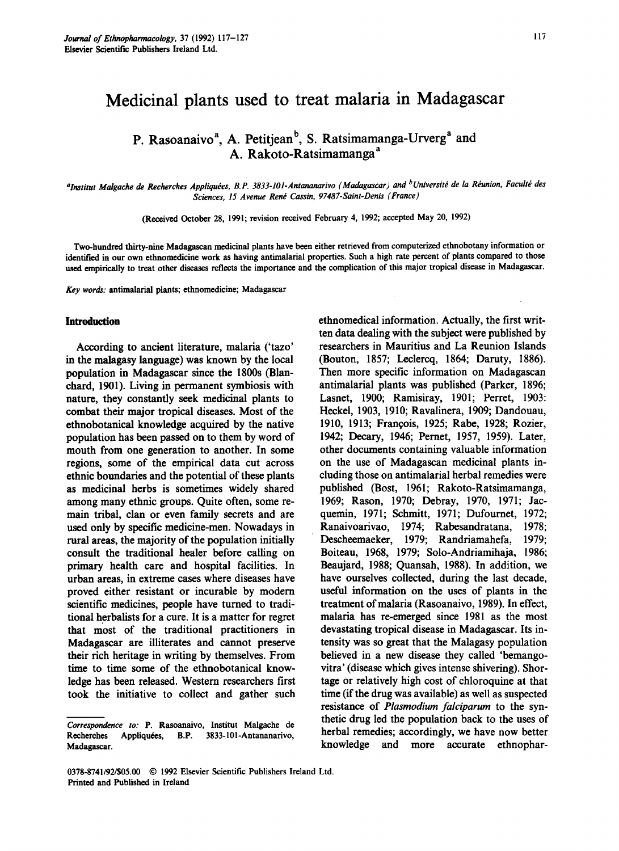# **Medicinal plants used to treat malaria in Madagascar**

P. Rasoanaivo<sup>a</sup>, A. Petitjean<sup>b</sup>, S. Ratsimamanga-Urverg<sup>a</sup> and A. Rakoto-Ratsimamanga<sup>a</sup>

<sup>a</sup>Institut Malgache de Recherches Appliquées, B.P. 3833-101-Antananarivo (Madagascar) and <sup>b</sup>Université de la Réunion, Faculté des *Sciences, 15 Avenue Rend Cassin, 97487-Saint-Denis (France)* 

(Received October 28, 1991; revision received February 4, 1992; accepted May 20, 1992)

Two-hundred thirty-nine Madagascan medicinal plants have been either retrieved from computerized ethnobotany information or identified in our own ethnomedicine work as having antimalarial properties. Such a high rate percent of plants compared to those used empirically to treat other diseases reflects the importance and the complication of this major tropical disease in Madagascar.

*Key words:* antimalarial plants; ethnomedicine; Madagascar

#### **Introduction**

According to ancient literature, malaria ('tazo' in the malagasy language) was known by the local population in Madagascar since the 1800s (Blanchard, 1901). Living in permanent symbiosis with nature, they constantly seek medicinal plants to combat their major tropical diseases. Most of the ethnobotanical knowledge acquired by the native population has been passed on to them by word of mouth from one generation to another. In some regions, some of the empirical data cut across ethnic boundaries and the potential of these plants as medicinal herbs is sometimes widely shared among many ethnic groups. Quite often, some remain tribal, elan or even family secrets and are used only by specific medicine-men. Nowadays in rural areas, the majority of the population initially consult the traditional healer before calling on primary health care and hospital facilities. In urban areas, in extreme cases where diseases have proved either resistant or incurable by modern scientific medicines, people have turned to traditional herbalists for a cure. It is a matter for regret that most of the traditional practitioners in Madagascar are illiterates and cannot preserve their rich heritage in writing by themselves. From time to time some of the ethnobotanical knowledge has been released. Western researchers first took the initiative to collect and gather such ethnomedical information. Actually, the first written data dealing with the subject were published by researchers in Mauritius and La Reunion Islands (Bouton, 1857; Leclercq, 1864; Daruty, 1886). Then more specific information on Madagascan antimalarial plants was published (Parker, 1896; Lasnet, 1900; Ramisiray, 1901; Perret, 1903: Heckel, 1903, 1910; Ravalinera, 1909; Dandouau, 1910, 1913; François, 1925; Rabe, 1928; Rozier, 1942; Decary, 1946; Pernet, 1957, 1959). Later, other documents containing valuable information on the use of Madagascan medicinal plants including those on antimalarial herbal remedies were published (Bost, 1961; Rakoto-Ratsimamanga, 1969; Rason, 1970; Debray, 1970, 1971; Jacquemin, 1971; Schmitt, 1971; Dufournet, 1972; Ranaivoarivao, 1974; Rabesandratana, 1978; Descheemaeker, 1979; Randriamahefa, 1979; Boiteau, 1968, 1979; Solo-Andriamihaja, 1986; Beaujard, 1988; Quansah, 1988). In addition, we have ourselves collected, during the last decade, useful information on the uses of plants in the treatment of malaria (Rasoanaivo, 1989). In effect, malaria has re-emerged since 1981 as the most devastating tropical disease in Madagascar. Its intensity was so great that the Malagasy population believed in a new disease they called 'bemangovitra' (disease which gives intense shivering). Shortage or relatively high cost of chloroquine at that time (if the drug was available) as well as suspected resistance of *Plasmodium falciparum* to the synthetic drug led the population back to the uses of herbal remedies; accordingly, we have now better knowledge and more accurate ethnophar-

*Correspondence to:* P. Rasoanaivo, Institut Malgache de Recherches Appliquées, B.P. 3833-101-Antananarivo, Madagascar.

<sup>0378-8741/92/\$05.00 © 1992</sup> Elsevier Scientific Publishers Ireland Ltd. Printed and Published in Ireland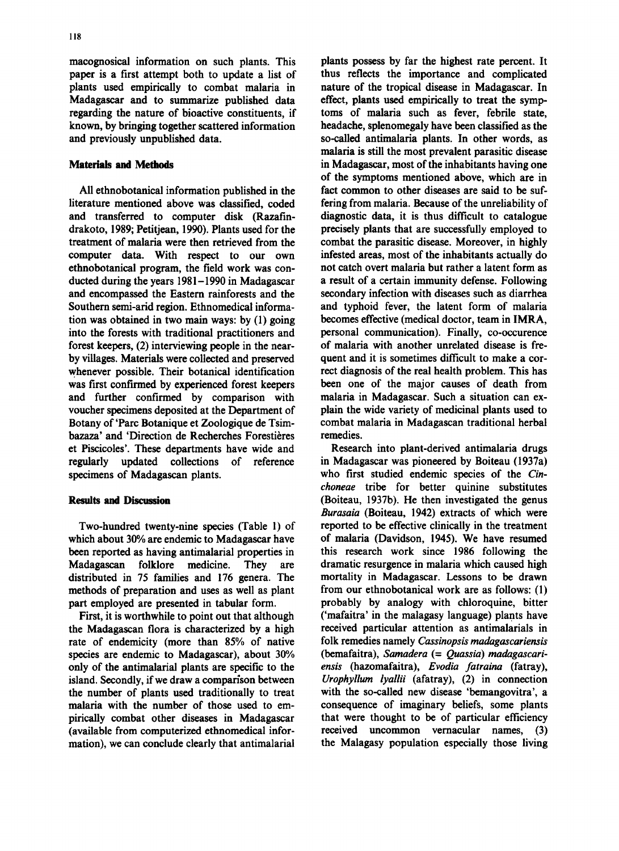macognosical information on such plants. This paper is a first attempt both to update a list of plants used empirically to combat malaria in Madagascar and to summarize published data regarding the nature of bioactive constituents, if known, by bringing together scattered information and previously unpublished data.

## **Materials and Methods**

All ethnobotanical information published in the literature mentioned above was classified, coded and transferred to computer disk (Razafindrakoto, 1989; Petitjean, 1990). Plants used for the treatment of malaria were then retrieved from the computer data. With respect to our own ethnobotanical program, the field work was conducted during the years *1981-1990* in Madagascar and encompassed the Eastern rainforests and the Southern semi-arid region. Ethnomedical information was obtained in two main ways: by (1) going into the forests with traditional practitioners and forest keepers, (2) interviewing people in the nearby villages. Materials were collected and preserved whenever possible. Their botanical identification was first confirmed by experienced forest keepers and further confirmed by comparison with voucher specimens deposited at the Department of Botany of'Pare Botanique et Zoologique de Tsimbazaza' and 'Direction de Recherches Forestières et Piscicoles'. These departments have wide and regularly updated collections of reference specimens of Madagascan plants.

## **Results and Discussion**

Two-hundred twenty-nine species (Table 1) of which about 30% are endemic to Madagascar have been reported as having antimalarial properties in Madagascan folklore medicine. They are distributed in 75 families and 176 genera. The methods of preparation and uses as well as plant part employed are presented in tabular form.

First, it is worthwhile to point out that although the Madagascan flora is characterized by a high rate of endemicity (more than 85% of native species are endemic to Madagascar), about 30% only of the antimalarial plants are specific to the island. Secondly, if we draw a comparison between the number of plants used traditionally to treat malaria with the number of those used to empirically combat other diseases in Madagascar (available from computerized ethnomedical information), we can conclude clearly that antimalarial plants possess by far the highest rate percent. It thus reflects the importance and complicated nature of the tropical disease in Madagascar. In effect, plants used empirically to treat the symptoms of malaria such as fever, febrile state, headache, splenomegaly have been classified as the so-called antimalaria plants. In other words, as malaria is still the most prevalent parasitic disease in Madagascar, most of the inhabitants having one of the symptoms mentioned above, which are in fact common to other diseases are said to be suffering from malaria. Because of the unreliability of diagnostic data, it is thus difficult to catalogue precisely plants that are successfully employed to combat the parasitic disease. Moreover, in highly infested areas, most of the inhabitants actually do not catch overt malaria but rather a latent form as a result of a certain immunity defense. Following secondary infection with diseases such as diarrhea and typhoid fever, the latent form of malaria becomes effective (medical doctor, team in IMRA, personal communication). Finally, co-occurence of malaria with another unrelated disease is frequent and it is sometimes difficult to make a correct diagnosis of the real health problem. This has been one of the major causes of death from malaria in Madagascar. Such a situation can explain the wide variety of medicinal plants used to combat malaria in Madagascan traditional herbal remedies.

Research into plant-derived antimalaria drugs in Madagascar was pioneered by Boiteau (1937a) who first studied endemic species of the *Cinchoneae* tribe for better quinine substitutes (Boiteau, 1937b). He then investigated the genus *Burasaia* (Boiteau, 1942) extracts of which were reported to be effective clinically in the treatment of malaria (Davidson, 1945). We have resumed this research work since 1986 following the dramatic resurgence in malaria which caused high mortality in Madagascar. Lessons to be drawn from our ethnobotanical work are as follows: (1) probably by analogy with chloroquine, bitter ('mafaitra' in the malagasy language) plants have received particular attention as antimalarials in folk remedies namely *Cassinopsis madagascariensis*  (bemafaitra), *Samadera* (= *Quassia) madagascariensis* (hazomafaitra), *Evodia fatraina* (fatray), *Urophyllum lyallii* (afatray), (2) in connection with the so-called new disease 'bemangovitra', a consequence of imaginary beliefs, some plants that were thought to be of particular efficiency received uncommon vernacular names, (3) the Malagasy population especially those living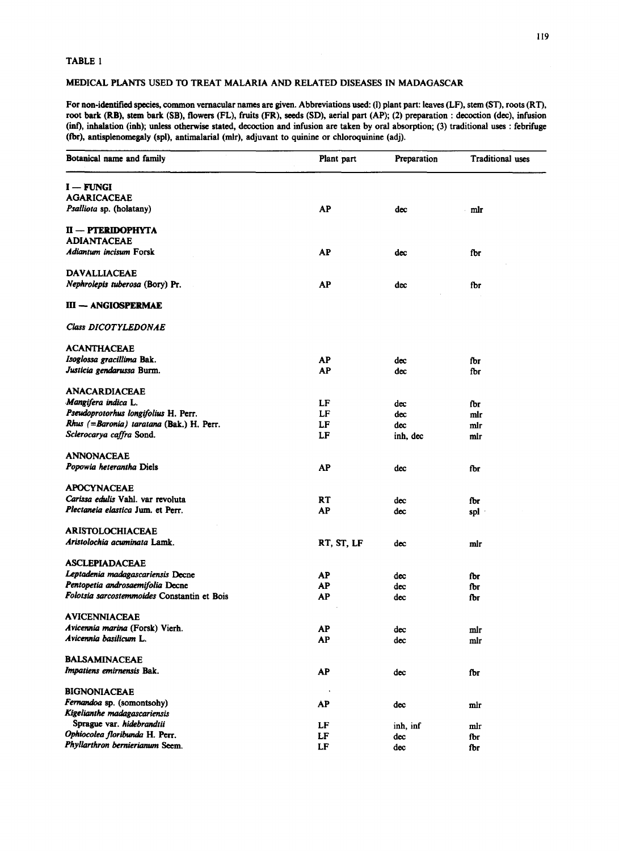## TABLE 1

### MEDICAL PLANTS USED TO TREAT MALARIA AND RELATED DISEASES IN MADAGASCAR

For non-identified species, common vernacular names are given. Abbreviations used: (i) plant part: leaves (LF), stem (ST), roots (RT), root bark (RB), stem bark (SB), flowers (FL), fruits (FR), seeds (SD), aerial part (AP); (2) preparation : decoction (dec), infusion (inf'), inhalation (inh); unless otherwise stated, decoction and infusion are taken by oral absorption; (3) traditional uses : febrifuge (fbr), antisplenomegaly (spl), antimalarial (mlr), adjuvant to quinine or chloroquinine (adj).

| Botanical name and family                   | Plant part | Preparation | <b>Traditional uses</b> |
|---------------------------------------------|------------|-------------|-------------------------|
| I — FUNGI                                   |            |             |                         |
| <b>AGARICACEAE</b>                          |            |             |                         |
| Psalliota sp. (holatany)                    | AP         | dec         | mlr                     |
| II — PTERIDOPHYTA                           |            |             |                         |
| <b>ADIANTACEAE</b>                          |            |             |                         |
| Adiantum incisum Forsk                      | AP         | dec         | fbr                     |
| <b>DAVALLIACEAE</b>                         |            |             |                         |
| Nephrolepis tuberosa (Bory) Pr.             | AP         | dec         | fbr                     |
| $III - ANGIOSPERMAE$                        |            |             |                         |
| Class DICOTYLEDONAE                         |            |             |                         |
| <b>ACANTHACEAE</b>                          |            |             |                         |
| Isoglossa gracillima Bak.                   | AP         | dec         | fbr                     |
| Justicia gendarussa Burm.                   | AP         | dec         | fbr                     |
| <b>ANACARDIACEAE</b>                        |            |             |                         |
| Mangifera indica L.                         | LF         | dec         | fbr                     |
| Pseudoprotorhus longifolius H. Perr.        | LF         | dec         | mlr                     |
| Rhus (=Baronia) taratana (Bak.) H. Perr.    | LF         | dec         | mlr                     |
| Sclerocarya caffra Sond.                    | LF         | inh, dec    | mlr                     |
| <b>ANNONACEAE</b>                           |            |             |                         |
| Popowia heterantha Diels                    | AP         | dec         | fbr                     |
| <b>APOCYNACEAE</b>                          |            |             |                         |
| Carissa edulis Vahl. var revoluta           | RT         | dec         | fbr                     |
| Plectaneia elastica Jum. et Perr.           | <b>AP</b>  | dec         | spl ·                   |
| <b>ARISTOLOCHIACEAE</b>                     |            |             |                         |
| Aristolochia acuminata Lamk.                | RT, ST, LF | dec         | mlr                     |
| <b>ASCLEPIADACEAE</b>                       |            |             |                         |
| Leptadenia madagascariensis Decne           | AP         | dec         | fbr                     |
| Pentopetia androsaemifolia Decne            | AP         | dec         | fbr                     |
| Folotsia sarcostemmoides Constantin et Bois | AP         | dec         | fbr                     |
| <b>AVICENNIACEAE</b>                        |            |             |                         |
| vicennia marina (Forsk) Vierh.              | <b>AP</b>  | dec         | mlr                     |
| Avicennia basilicum L.                      | AP         | dec         | mlr                     |
| <b>BALSAMINACEAE</b>                        |            |             |                         |
| Impatiens emirnensis Bak.                   | <b>AP</b>  | dec         | fbr                     |
| <b>BIGNONIACEAE</b>                         |            |             |                         |
| Fernandoa sp. (somontsohy)                  | <b>AP</b>  | dec         | mlr                     |
| Kigelianthe madagascariensis                |            |             |                         |
| Sprague var. hidebrandtii                   | LF         | inh, inf    | mlr                     |
| Ophiocolea floribunda H. Perr.              | LF         | dec         | fbr                     |
| Phyllarthron bernierianum Seem.             | LF         | dec         | fbr                     |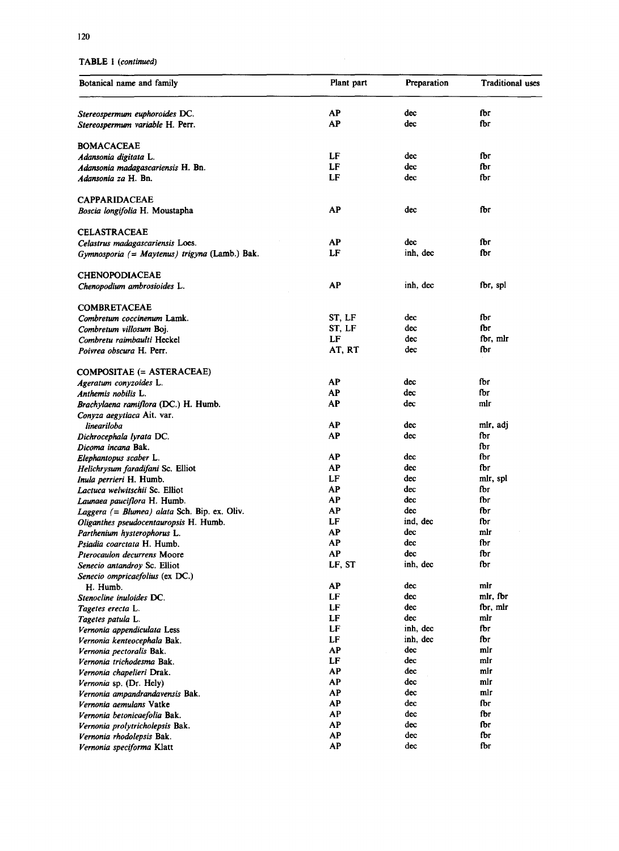| Botanical name and family                             | Plant part | Preparation     | <b>Traditional uses</b> |
|-------------------------------------------------------|------------|-----------------|-------------------------|
| Stereospermum euphoroides DC.                         | AP         | dec             | fbr                     |
| Stereospermum variable H. Perr.                       | AP         | dec             | fbr                     |
| <b>BOMACACEAE</b>                                     |            |                 |                         |
| Adansonia digitata L.                                 | LF         | dec             | fbr                     |
| Adansonia madagascariensis H. Bn.                     | LF         | dec             | fbr                     |
| Adansonia za H. Bn.                                   | LF         | dec             | fbr                     |
| <b>CAPPARIDACEAE</b>                                  |            |                 |                         |
| Boscia longifolia H. Moustapha                        | AP         | dec             | fbr                     |
| <b>CELASTRACEAE</b>                                   |            |                 |                         |
| Celastrus madagascariensis Loes.                      | AP         | dec             | fbr                     |
| Gymnosporia $(=$ Maytenus) trigyna (Lamb.) Bak.       | LF         | inh, dec        | fbr                     |
| <b>CHENOPODIACEAE</b>                                 |            |                 |                         |
| Chenopodium ambrosioides L.                           | AP         | inh, dec        | fbr, spl                |
| <b>COMBRETACEAE</b>                                   |            |                 |                         |
| Combretum coccinenum Lamk.                            | ST, LF     | dec             | fbr                     |
| Combretum villosum Boj.                               | ST, LF     | dec             | fbr                     |
| Combretu raimbaulti Heckel                            | LF         | dec             | fbr, mlr                |
| Poivrea obscura H. Perr.                              | AT, RT     | dec             | fbr                     |
| <b>COMPOSITAE (= ASTERACEAE)</b>                      |            |                 |                         |
| Ageratum conyzoides L.                                | AP         | dec             | fbr                     |
| Anthemis nobilis L.                                   | AP         | dec             | fbr                     |
| Brachylaena ramiflora (DC.) H. Humb.                  | AР         | dec             | mlr                     |
| Conyza aegytiaca Ait. var.                            |            |                 |                         |
| lineariloba                                           | AP         | dec             | mlr, adj                |
| Dichrocephala lyrata DC.                              | AP         | dec             | fbr                     |
| Dicoma incana Bak.                                    |            |                 | fbr                     |
| Elephantopus scaber L.                                | AP         | dec             | fbr                     |
| Helichrysum faradifani Sc. Elliot                     | AP         | dec             | fbr                     |
| Inula perrieri H. Humb.                               | LF         | dec             | mlr, spl                |
| Lactuca welwitschii Sc. Elliot                        | AP         | dec             | fbr                     |
| Launaea pauciflora H. Humb.                           | AP         | dec             | fbr                     |
| Laggera $(= Blumea)$ alata Sch. Bip. ex. Oliv.        | AP         | dec             | fbг                     |
| Oliganthes pseudocentauropsis H. Humb.                | LF         | ind, dec        | fbr                     |
| Parthenium hysterophorus L.                           | AP         | dec             | mlr                     |
| Psiadia coarctata H. Humb.                            | AP         | dec             | fbr                     |
| Pterocaulon decurrens Moore                           | AP         | dec             | fbr                     |
| Senecio antandroy Sc. Elliot                          | LF, ST     | inh, dec        | fbr                     |
| Senecio ompricaefolius (ex DC.)                       |            |                 |                         |
| H. Humb.                                              | <b>AP</b>  | dec             | mlr                     |
| Stenocline inuloides DC.                              | LF         | dec             | mlr, fbr                |
| Tagetes erecta L.                                     | LF         | dec<br>dec      | fbr, mlr<br>mlr         |
| Tagetes patula L.                                     | LF         |                 | fbr                     |
| Vernonia appendiculata Less                           | LF<br>LF   | inh, dec        | fbr                     |
| Vernonia kenteocephala Bak.                           | AP         | inh, dec<br>dec | mlr                     |
| Vernonia pectoralis Bak.<br>Vernonia trichodesma Bak. | LF         | dec             | mlr                     |
|                                                       | AP         | dec             | mlr                     |
| Vernonia chapelieri Drak.                             | AP         | dec             | mlr                     |
| Vernonia sp. (Dr. Hely)                               | AP         | dec             | mlr                     |
| Vernonia ampandrandavensis Bak.                       | AP         | dec             | fbr                     |
| Vernonia aemulans Vatke                               | AP         | dec             | fbr                     |
| Vernonia betonicaefolia Bak.                          | AP         | dec             | fbr                     |
| Vernonia prolytricholepsis Bak.                       | AP         | dec             | fbr                     |
| Vernonia rhodolepsis Bak.                             | AP         | dec             | fbr                     |
| Vernonia speciforma Klatt                             |            |                 |                         |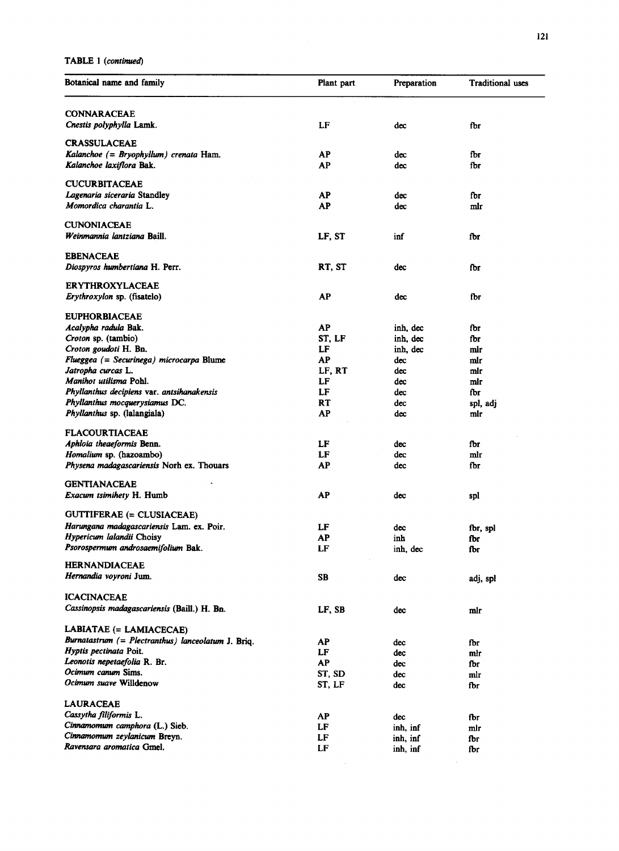TABLE 1 *(continued)* 

| Botanical name and family                                                     | Plant part | Preparation | <b>Traditional uses</b> |
|-------------------------------------------------------------------------------|------------|-------------|-------------------------|
| <b>CONNARACEAE</b>                                                            |            |             |                         |
| Cnestis polyphylla Lamk.                                                      | LF         | dec         | fbr                     |
| <b>CRASSULACEAE</b>                                                           |            |             |                         |
| Kalanchoe (= Bryophyllum) crenata Ham.                                        | AP         | dec         | fbr                     |
| Kalanchoe laxiflora Bak.                                                      | AP         | dec         | fbr                     |
| <b>CUCURBITACEAE</b>                                                          |            |             |                         |
| Lagenaria siceraria Standley                                                  | AP         | dec         | fbr                     |
| Momordica charantia L.                                                        | AP         | dec         | mlr                     |
| <b>CUNONIACEAE</b>                                                            |            |             |                         |
| <i>Weinmannia lantziana</i> Baill.                                            | LF, ST     | inf         | fbr                     |
| <b>EBENACEAE</b>                                                              |            |             |                         |
| Diospyros humbertiana H. Perr.                                                | RT, ST     | dec         | fbr                     |
| <b>ERYTHROXYLACEAE</b>                                                        |            |             |                         |
| Erythroxylon sp. (fisatelo)                                                   | AP         | dec         | fbr                     |
|                                                                               |            |             |                         |
| <b>EUPHORBIACEAE</b><br>Acalypha radula Bak.                                  | AP         | inh, dec    | fbr                     |
| Croton sp. (tambio)                                                           | ST, LF     | inh, dec    | fbr                     |
| Croton goudoti H. Bn.                                                         | LF         | inh, dec    | mlr                     |
| $Flueggea (= Security) microcarpa Blume$                                      | AP         | dec         | mlr                     |
| Jatropha curcas L.                                                            | LF, RT     | dec         | mlr                     |
| Manihot utilisma Pohl.                                                        | LF         | dec         | mlr                     |
| Phyllanthus decipiens var. antsihanakensis                                    | LF         | dec         | fbr                     |
| Phyllanthus mocquerysiamus DC.                                                | <b>RT</b>  | dec         | spl, adj                |
| Phyllanthus sp. (lalangiala)                                                  | AP         | dec         | mlr                     |
| <b>FLACOURTIACEAE</b>                                                         |            |             |                         |
| Aphloia theaeformis Benn.                                                     | LF         | dec         | fbr                     |
| Homalium sp. (hazoambo)                                                       | LF         | dec         | mlr                     |
| Physena madagascariensis Norh ex. Thouars                                     | AP         | dec         | fbr                     |
| <b>GENTIANACEAE</b>                                                           |            |             |                         |
| <i>Exacum tsimihety</i> H. Humb                                               | AP         | dec         | spl                     |
|                                                                               |            |             |                         |
| <b>GUTTIFERAE (= CLUSIACEAE)</b><br>Harungana madagascariensis Lam. ex. Poir. | LF         |             |                         |
| Hypericum lalandii Choisy                                                     | AP         | dec<br>inh  | fbr, spl                |
| Psorospermum androsaemifolium Bak.                                            | LF         |             | fbr<br>fbr              |
|                                                                               |            | inh, dec    |                         |
| <b>HERNANDIACEAE</b><br>Hernandia voyroni Jum.                                | SB         |             |                         |
|                                                                               |            | dec         | adj, spl                |
| <b>ICACINACEAE</b>                                                            |            |             |                         |
| Cassinopsis madagascariensis (Baill.) H. Bn.                                  | LF, SB     | dec         | mlr                     |
| <b>LABIATAE (= LAMIACECAE)</b>                                                |            |             |                         |
| Burnatastrum (= Plectranthus) lanceolatum J. Briq.                            | AP         | dec         | fbг                     |
| Hyptis pectinata Poit.                                                        | LF         | dec         | mlr                     |
| Leonotis nepetaefolia R. Br.                                                  | AP         | dec         | fbr                     |
| Ocimum canum Sims.                                                            | ST, SD     | dec         | mlr                     |
| Ocimum suave Willdenow                                                        | ST, LF     | dec         | fbr                     |
| <b>LAURACEAE</b>                                                              |            |             |                         |
| Cassytha filiformis L.                                                        | AP         | dec         | fbг                     |
| Cinnamomum camphora (L.) Sieb.                                                | LF         | inh, inf    | mlr                     |
| Cinnamomum zeylanicum Breyn.                                                  | LF         | inh, inf    | fbr                     |
| Ravensara aromatica Gmel.                                                     | LF         | inh, inf    | fbr                     |
|                                                                               |            |             |                         |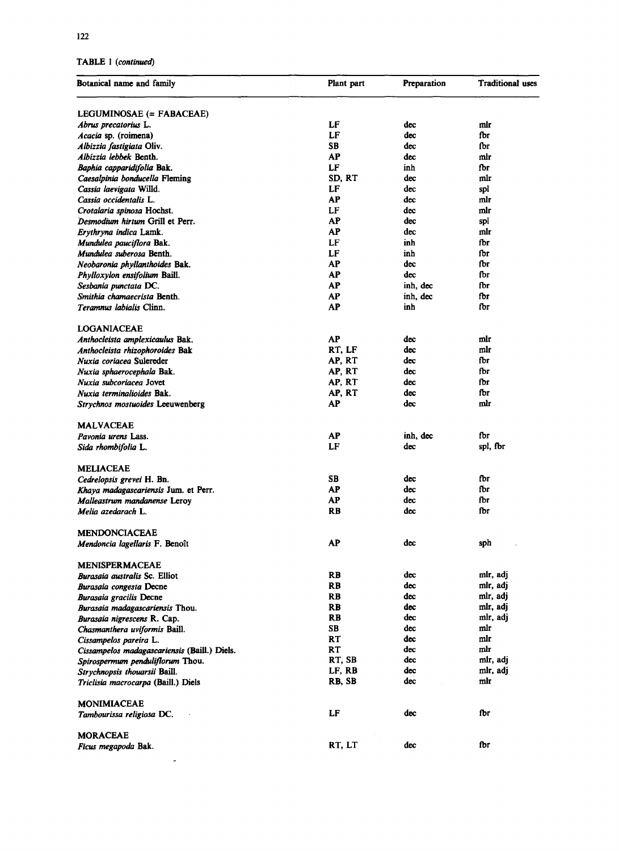| Botanical name and family                    | Plant part | Preparation | Traditional uses |
|----------------------------------------------|------------|-------------|------------------|
| LEGUMINOSAE (= FABACEAE)                     |            |             |                  |
| Abrus precatorius L.                         | LF         | dec         | mlr              |
| Acacia sp. (roimena)                         | LF         | dec         | fbr              |
| Albizzia fastigiata Oliv.                    | SB         | dec         | fbr              |
| Albizzia lebbek Benth.                       | АP         | dec         | mlr              |
|                                              |            |             |                  |
| Baphia capparidifolia Bak.                   | LF         | inh         | fbr              |
| Caesalpinia bonducella Fleming               | SD, RT     | dec         | mlr              |
| Cassia laevigata Willd.                      | LF         | dec         | spl              |
| Cassia occidentalis L.                       | AP         | dec         | mlr              |
| Crotalaria spinosa Hochst.                   | LF         | dec         | mlr              |
| Desmodium hirtum Grill et Perr.              | АP         | dec         | spl              |
| Erythryna indica Lamk.                       | АP         | dec         | mlr              |
| Mundulea pauciflora Bak.                     | LF         | inh         | fbr              |
| Mundulea suberosa Benth.                     | LF         | inh         | fbr              |
| Neobaronia phyllanthoides Bak.               | AP         | dec         | fbr              |
| Phylloxylon ensifolium Baill.                | AP         | dec         | fbr              |
| Sesbania punctata DC.                        | AP         | inh, dec    | fbr              |
| Smithia chamaecrista Benth.                  | AP         | inh, dec    | fbr              |
| Teramnus labialis Clinn.                     | AP         | inh         | fbr              |
| <b>LOGANIACEAE</b>                           |            |             |                  |
| Anthocleista amplexicaulus Bak.              | AP         | dec         | mlr              |
| Anthocleista rhizophoroides Bak              | RT. LF     | dec         | mlr              |
| Nuxia coriacea Sulereder                     | AP, RT     | dec         | fbr              |
| Nuxia sphaerocephala Bak.                    | AP, RT     | dec         | fbr              |
| Nuxia subcoriacea Jovet                      | AP, RT     | dec         | fbr              |
| Nuxia terminalioides Bak.                    | AP, RT     | dec         | fbr              |
| Strychnos mostuoides Leeuwenberg             | AP         | dec         | mlr              |
|                                              |            |             |                  |
| <b>MALVACEAE</b><br>Pavonia urens Lass.      | AP         | inh, dec    | fbr              |
|                                              | LF         | dec         | spl, fbr         |
| Sida rhombifolia L.                          |            |             |                  |
| <b>MELIACEAE</b>                             |            |             |                  |
| Cedrelopsis grevei H. Bn.                    | SB         | dec         | fbr              |
| Khaya madagascariensis Jum. et Perr.         | AP         | dec         | fbr              |
| Malleastrum mandanense Leroy                 | AP         | dec         | fbr              |
| Melia azedarach L.                           | RB         | dec         | fbr              |
| <b>MENDONCIACEAE</b>                         |            |             |                  |
| Mendoncia lagellaris F. Benoît               | AP         | dec         | sph              |
| <b>MENISPERMACEAE</b>                        |            |             |                  |
| <b>Burasaia australis Sc. Elliot</b>         | RB         | dec         | mlr, adj         |
| Burasaia congesta Decne                      | RB         | dec         | mlr, adj         |
| Burasaia gracilis Decne                      | RB         | dec         | mlr, adj         |
| Burasaia madagascariensis Thou.              | <b>RB</b>  | dec         | mlr, adj         |
| Burasaia nigrescens R. Cap.                  | RB         | dec         | mir, adj         |
| Chasmanthera uviformis Baill.                | SB         | dec         | mlr              |
| Cissampelos pareira L.                       | RT         | dec         | mlr              |
| Cissampelos madagascariensis (Baill.) Diels. | RT         | dec         | mlr              |
| Spirospermum penduliflorum Thou.             | RT, SB     | dec         | mlr, adj         |
| Strychnopsis thouarsii Baill.                | LF, RB     | dec         | mlr, adj         |
| Triclisia macrocarpa (Baill.) Diels          | RB, SB     | dec         | mir              |
| <b>MONIMIACEAE</b>                           |            |             |                  |
| Tambourissa religiosa DC.                    | LF         | dec         | fbr              |
| <b>MORACEAE</b>                              |            |             |                  |
| Ficus megapoda Bak.                          | RT, LT     | dec         | fbr              |
|                                              |            |             |                  |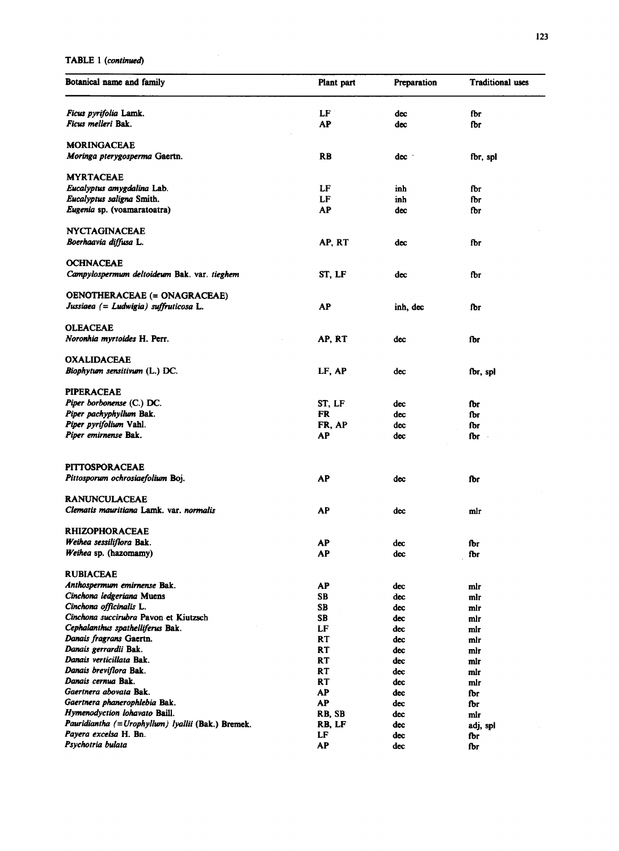# TABLE 1 *(continued)*

| Botanical name and family                          | Plant part | Preparation | Traditional uses |
|----------------------------------------------------|------------|-------------|------------------|
| Ficus pyrifolia Lamk.                              | LF :       | dec         | fbr              |
| Ficus melleri Bak.                                 | AP         | dec         | fbr              |
| <b>MORINGACEAE</b>                                 |            |             |                  |
| Moringa pterygosperma Gaertn.                      | RB         | dec :       | fbr, spl         |
| <b>MYRTACEAE</b>                                   |            |             |                  |
| Eucalyptus amygdalina Lab.                         | LF         | inh         | fbr              |
| Eucalyptus saligna Smith.                          | LF         | inh         | fbr              |
| Eugenia sp. (voamaratoatra)                        | AP         | dec         | fbr              |
| <b>NYCTAGINACEAE</b>                               |            |             |                  |
| Boerhaavia diffusa L.                              | AP, RT     | dec         | fbr              |
| OCHNACEAE                                          |            |             |                  |
| Campylospermum deltoideum Bak. var. tiegnem        | ST, LF     | dec         | fbr              |
| <b>OENOTHERACEAE (= ONAGRACEAE)</b>                |            |             |                  |
| Jussiaea (= Ludwigia) suffruticosa L.              | AP         | inh, dec    | fbr              |
| <b>OLEACEAE</b>                                    |            |             |                  |
| Noronhia myrtoides H. Perr.                        | AP, RT     | dec         | fbr              |
|                                                    |            |             |                  |
| <b>OXALIDACEAE</b>                                 |            |             |                  |
| Biophytum sensitivum (L.) DC.                      | LF, AP     | dec         | fbr, spl         |
| PIPERACEAE                                         |            |             |                  |
| Piper borbonense (C.) DC.                          | ST. LF     | dec         | fbr              |
| Piper pachyphyllum Bak.                            | FR         | dec         | fbr              |
| Piper pyrifolium Vahl.                             | FR, AP     | dec         | fbr              |
| Piper emirnense Bak.                               | AP         | dec         | fbr ·            |
|                                                    |            |             |                  |
| PITTOSPORACEAE                                     |            |             |                  |
| Pittosporum ochrosiaefolium Boj.                   | AΡ         | dec         | fbr              |
| <b>RANUNCULACEAE</b>                               |            |             |                  |
| Clematis mauritiana Lamk. var. normalis            | AP         | dec         | mlr              |
| RHIZOPHORACEAE                                     |            |             |                  |
| Weihea sessiliflora Bak.                           | AP         | dec         | fbr              |
| Weihea sp. (hazomamy)                              | AP         | dec         | fbr              |
| <b>RUBIACEAE</b>                                   |            |             |                  |
| Anthospermum emirnense Bak.                        | <b>AP</b>  | dec         | mlr              |
| Cinchona ledgeriana Muens                          | SB         | dec         | mlr              |
| Cinchona officinalis L.                            | SB         | dec         | mlr              |
| Cinchona succirubra Pavon et Kiutzsch              | SB         | dec         | mlr              |
| Cephalanthus spathelliferus Bak.                   | LF         | dec         | mlr              |
| Danais fragrans Gaertn.                            | <b>RT</b>  | dec         | mlr              |
| Danais gerrardii Bak.                              | RT         | dec         | mir              |
| Danais verticillata Bak.                           | RT         | dec         | mlr              |
| Danais breviflora Bak.                             | RT         | dec         | mlr              |
| Danais cernua Bak.                                 | <b>RT</b>  | dec         | mlr              |
| Gaertnera abovata Bak.                             | AP         | dec         | fbr              |
| Gaertnera phanerophlebia Bak.                      | AР         | dec         | fbr              |
| <i>Hymenodyction lohavato Baill.</i>               | RB, SB     | dec         | mlr              |
| Pauridiantha (= Urophyllum) lyallii (Bak.) Bremek. | RB, LF     | dec         | adj, spl         |
| Payera excelsa H. Bn.                              | LF         | dec         | fbr              |
| Psychotria bulata                                  | AP         | dec         | ſbr              |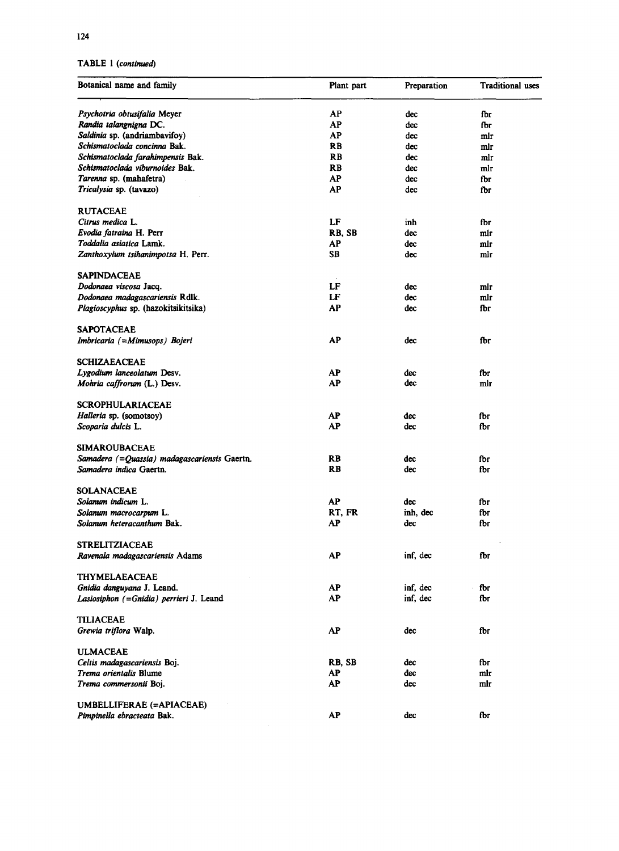TABLE 1 *(continued)* 

| Botanical name and family                     | Plant part | Preparation | <b>Traditional uses</b> |
|-----------------------------------------------|------------|-------------|-------------------------|
| Psychotria obtusifalia Meyer                  | AP         | dec         | fbr                     |
| Randia talangnigna DC.                        | AP         | dec         | fbr                     |
| Saldinia sp. (andriambavifoy)                 | AP         | dec         | mlr                     |
| Schismatoclada concinna Bak.                  | <b>RB</b>  | dec         | mlr                     |
| Schismatoclada farahimpensis Bak.             | RB         | dec         | mlr                     |
| Schismatoclada viburnoides Bak.               | RB         | dec         | mlr                     |
| Tarenna sp. (mahafetra)                       | AP         | dec         | fbr                     |
| Tricalysia sp. (tavazo)                       | AP         | dec         | fbr                     |
| <b>RUTACEAE</b>                               |            |             |                         |
| Citrus medica L.                              | LF         | inh         | fbr                     |
| Evodia fatraina H. Perr                       | RB. SB     | dec         | mlr                     |
| Toddalia asiatica Lamk.                       | AP         | dec         | mlr                     |
| Zanthoxylum tsihanimpotsa H. Perr.            | SB         | dec         | mlr                     |
| <b>SAPINDACEAE</b>                            |            |             |                         |
| Dodonaea viscosa Jacq.                        | LF         | dec         | mlr                     |
| Dodonaea madagascariensis Rdlk.               | LF         | dec         | mlr                     |
| Plagioscyphus sp. (hazokitsikitsika)          | AP         | dec         | fbr                     |
| <b>SAPOTACEAE</b>                             |            |             |                         |
| Imbricaria (= Mimusops) Bojeri                | AP         | dec         | fbr                     |
| <b>SCHIZAEACEAE</b>                           |            |             |                         |
| Lygodium lanceolatum Desv.                    | AP         | dec         | fbr                     |
| Mohria caffrorum (L.) Desv.                   | AP         | dec         | mlr                     |
| <b>SCROPHULARIACEAE</b>                       |            |             |                         |
| Halleria sp. (somotsoy)                       | AP         | dec         | fbr                     |
| Scoparia dulcis L.                            | ΑP         | dec         | fbr                     |
| <b>SIMAROUBACEAE</b>                          |            |             |                         |
| Samadera (= Quassia) madagascariensis Gaertn. | RB         | dec         | fbr                     |
| Samadera indica Gaertn.                       | RB         | dec         | fbr                     |
| <b>SOLANACEAE</b>                             |            |             |                         |
| Solanum indicum L.                            | AP         | dec         | fbr                     |
| Solanum macrocarpum L.                        | RT, FR     | inh, dec    | fbr                     |
| Solanum heteracanthum Bak.                    | AP         | dec         | fbr                     |
| <b>STRELITZIACEAE</b>                         |            |             |                         |
| Ravenala madagascariensis Adams               | AP         | inf, dec    | fbr                     |
| <b>THYMELAEACEAE</b>                          |            |             |                         |
| Gnidia danguyana J. Leand.                    | AP         | inf, dec    | fbr                     |
| Lasiosiphon (=Gnidia) perrieri J. Leand       | AP         | inf, dec    | fbr                     |
| <b>TILIACEAE</b>                              |            |             |                         |
| Grewia triflora Walp.                         | AP.        | dec         | fbr                     |
| <b>ULMACEAE</b>                               |            |             |                         |
| Celtis madagascariensis Boj.                  | RB, SB     | dec         | fbr                     |
| Trema orientalis Blume                        | AP         | dec         | mlr                     |
| Trema commersonii Boj.                        | AΡ         | dec         | mlr                     |
| <b>UMBELLIFERAE (=APIACEAE)</b>               |            |             |                         |
| Pimpinella ebracteata Bak.                    | <b>AP</b>  | dec         | fЪг                     |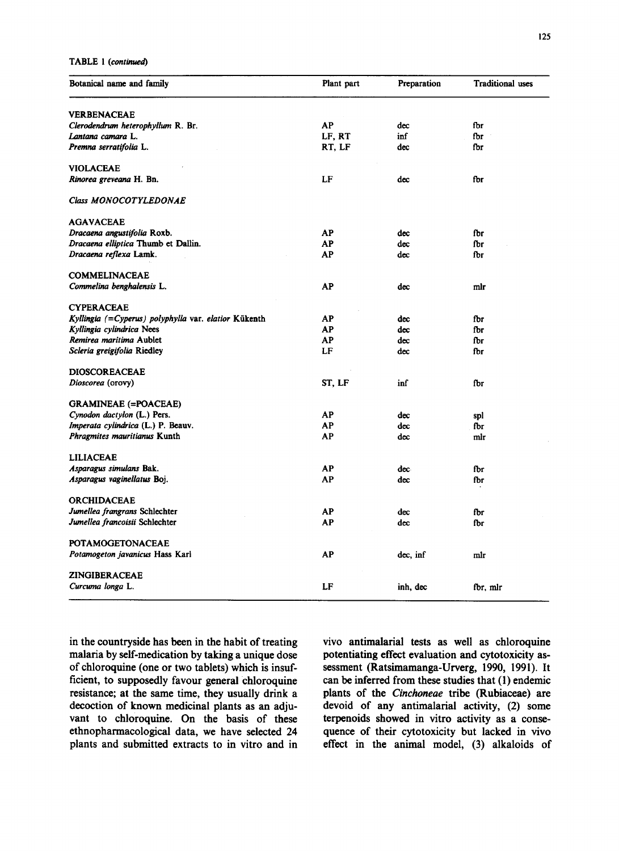#### TABLE I *(continued)*

| Botanical name and family                            | Plant part | Preparation | <b>Traditional uses</b> |
|------------------------------------------------------|------------|-------------|-------------------------|
| <b>VERBENACEAE</b>                                   |            |             |                         |
| Clerodendrum heterophyllum R. Br.                    | AP         | dec         | fbr                     |
| Lantana camara L.                                    | LF, RT     | inf         | fbr                     |
| Premna serratifolia L.                               | RT, LF     | dec         | fbr                     |
| <b>VIOLACEAE</b>                                     |            |             |                         |
| Rinorea greveana H. Bn.                              | LF         | dec         | fbr                     |
| Class MONOCOTYLEDONAE                                |            |             |                         |
| <b>AGAVACEAE</b>                                     |            |             |                         |
| Dracaena angustifolia Roxb.                          | AP         | dec         | fbr                     |
| Dracaena elliptica Thumb et Dallin.                  | AP         | dec         | fbr                     |
| Dracaena reflexa Lamk.                               | AP         | dec         | fbr                     |
| <b>COMMELINACEAE</b>                                 |            |             |                         |
| Commelina benghalensis L.                            | AP         | dec         | mlr                     |
| <b>CYPERACEAE</b>                                    |            |             |                         |
| Kyllingia (=Cyperus) polyphylla var. elatior Kükenth | AP         | dec         | fbr                     |
| Kyllingia cylindrica Nees                            | <b>AP</b>  | dec         | fbr                     |
| Remirea maritima Aublet                              | AP         | dec         | fbг                     |
| <i>Scleria greigifolia</i> Riedley                   | LF         | dec         | fbr                     |
| <b>DIOSCOREACEAE</b>                                 |            |             |                         |
| Dioscorea (orovy)                                    | ST, LF     | inf         | fbr                     |
| <b>GRAMINEAE (=POACEAE)</b>                          |            |             |                         |
| Cynodon dactylon (L.) Pers.                          | <b>AP</b>  | dec         | spl                     |
| Imperata cylindrica (L.) P. Beauv.                   | AP         | dec         | fbr                     |
| Phragmites mauritianus Kunth                         | AP         | dec         | mlr                     |
| <b>LILIACEAE</b>                                     |            |             |                         |
| Asparagus simulans Bak.                              | AP         | dec         | fbr                     |
| Asparagus vaginellatus Boj.                          | <b>AP</b>  | dec         | fbr                     |
| <b>ORCHIDACEAE</b>                                   |            |             |                         |
| Jumellea frangrans Schlechter                        | AP         | dec         | fbr                     |
| Jumellea francoisii Schlechter                       | AP         | dec         | fbr                     |
| <b>POTAMOGETONACEAE</b>                              |            |             |                         |
| Potamogeton javanicus Hass Karl                      | AP         | dec, inf    | mlr                     |
| ZINGIBERACEAE                                        |            |             |                         |
| Curcuma longa L.                                     | LF         | inh, dec    | fbr, mlr                |

**in the countryside has been in the habit of treating malaria by self-medication by taking a unique dose of chloroquine (one or two tablets) which is insufficient, to supposedly favour general chloroquine resistance; at the same time, they usually drink a decoction of known medicinal plants as an adjuvant to chloroquine. On the basis of these ethnopharmacological data, we have selected 24 plants and submitted extracts to in vitro and in**  **vivo antimalarial tests as well as chloroquine potentiating effect evaluation and cytotoxicity assessment (Ratsimamanga-Urverg, 1990, 1991). It can be inferred from these studies that (1) endemic plants of the** *Cinchoneae* **tribe (Rubiaceae) are devoid of** any antimalarial **activity, (2) some**  terpenoids showed in vitro activity as a conse**quence of their cytotoxicity but lacked in vivo effect in the animal model, (3) alkaloids of**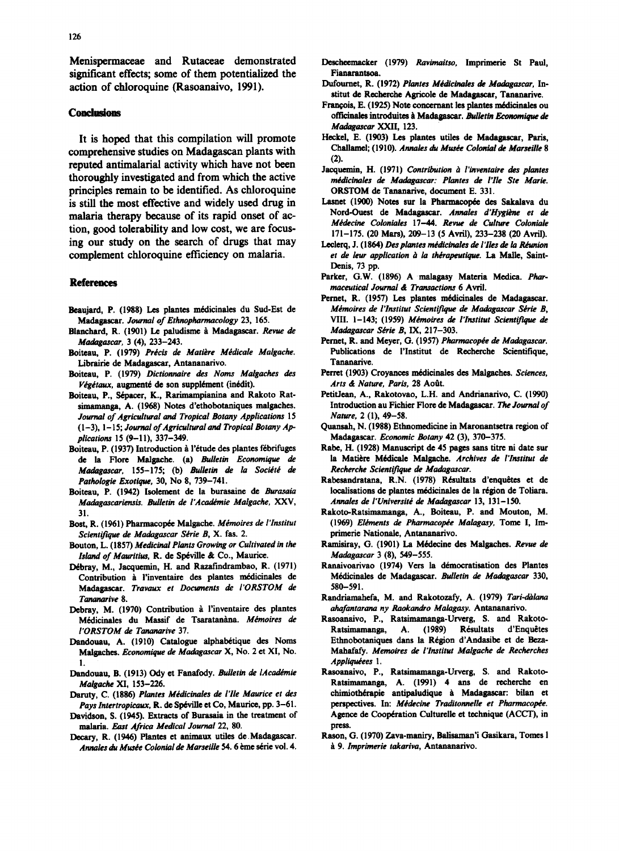**Menispermaceae and Rutaceae demonstrated**  significant effects; some of them potentialized the **action of chloroquine (Rasoanaivo, 1991).** 

#### **Cenelmions**

It is hoped that this compilation will promote comprehensive studies on Madagascan plants with reputed antimalarial activity which have not been thoroughly investigated and from which the active principles remain to be identified. As chloroquine is still the most effective and widely used drug in malaria therapy because of its rapid onset of action, good tolerability and low cost, we are focusing our study on the search of drugs that may complement chloroquine efficiency on malaria.

#### **Refereaces**

- Beaujard, P. (1988) Les plantes médicinales du Sud-Est de *Madagascar. Journal of Ethnopharmacology* 23, 165.
- Blanchard, R. (1901) Le paludisme à Madagascar. Revue de *Madagascar,* 3 (4), 233-243.
- Boiteau, P. (1979) *Prdcis de Matiire Mddicale Malgache.*  Librairie de Madagascar, Antananarivo.
- Boiteau, P. (1979) *Dictionnaire des Noms Malgaches des*  Végétaux, augmenté de son supplément (inédit).
- Boiteau, P., Sépacer, K., Rarimampianina and Rakoto Ratsimamanga, A. (1968) Notes d'ethobotaniques malgaches. *Journal of Agricultural and Tropical Botany Applications* 15 (1-3), I- 15; *Journal of Agricultural and Tropical Botany Applications* 15 (9-11), 337-349.
- Boiteau, P. (1937) Introduction à l'étude des plantes fébrifuges de la Flore Malgache. (a) *Bulletin Economique de Madagascar*, 155-175; (b) *Bulletin de la Société de Pathologie Exotique,* 30, No 8, 739-741.
- Boiteau, P. (1942) Isolement de la burasaine de Burasaio *Madagascariensis. Bulletin de l'Académie Malgache, XXV,* 31.
- Bost, R. (1961) Pharmacopée Malgache. *Mémoires de l'Institut* Scientifique de Madagascar Série B, X. fas. 2.
- Bouton, L. (1857) *Medicinal Plants Growing or Cultivated in the Island of Mauritius,* R. de Sp6ville & Co., Maurice.
- Débray, M., Jacquemin, H. and Razafindrambao, R. (1971) Contribution à l'inventaire des plantes médicinales de Madagascar. *Travaux et Documents de I'ORSTOM de Tananarive 8.*
- Debray, M. (1970) Contribution à l'inventaire des plantes Médicinales du Massif de Tsaratanàna. Mémoires de *I'ORSTOM de Tananarive* 37.
- Dandouau, A. (1910) Catalogue alphabétique des Noms Malgaches. *Economique de Madagascar* X, No. 2 et XI, No. 1.
- Dandouau, B. (1913) Ody et Fanafody. *Balietin de IAcademie Malgache XI,* 153-226.
- Daruty, C. (1886) Plantes Médicinales de l'Ile Maurice et des Pays Intertropicaux, R. de Spéville et Co, Maurice, pp. 3-61.
- Davidson, S. (1945). Extracts of Burasaia in the treatment of *malaria. East Africa Medical Journal* 22, 80.
- Decary, R. (1946) Plantes et animaux utiles de Madagascar. *Ananles du Musde Colonial de Marsetiie* 54. 6 6me s6rie vol. 4.
- Descheemacker (1979) *Ravimaitso,* Imprimerie St Paul, Fianarantsoa.
- Dufournet, R. (1972) *Plantes Médicinales de Madagascar*, Institut de Recherche Agricole de Madagascar, Tananarive.
- François, E. (1925) Note concernant les plantes médicinales ou officinales introduites à Madagascar. Bulletin Economique de *Madagascar* XXlI, 123.
- Heckel, E. (1903) Les plantes utiles de Madagascar, Paris, Challamel; (1910). *Annales du Musde Colonial de Marseiiie 8*  (2).
- Jacquemin, H. (1971) Contribution à l'inventaire des plantes *m#dicinales de Madagascar: Plantes de I'lle Ste Marie.*  ORSTOM de Tananarive, document E. 331.
- Lasnet (1900) Notes sur la Pharmacopée des Sakalava du Nord-Ouest de Madagascar. Annales d'Hygiène et de *Mddecine Coionioles* 17--44. Revue de *Culture Coloniole*  171-175. (20 Mars), 209-13 (5 Avril), 233-238 (20 Avril).
- Leclerg, J. (1864) *Des plantes médicinales de l'Iles de la Réunion* et de leur application à la thérapeutique. La Malle, Saint-Denis, 73 pp.
- Parker, G.W. (1896) A malagasy Materia Medica. *Pharmaceutical Journal* & Transactions 6 Avril.
- Pernet, R. (1957) Les plantes médicinales de Madagascar. *Mémoires de l'Institut Scientifique de Madagascar Série B,* VIII. i-143; (1959) *Mdmoires de I'Institut Scientiflque de Madagascar Sirie B,* IX, 217-303.
- Pernet, R. and Meyer, G. (1957) *Pharmacopée de Madagascar.* Publications de l'Institut de Recherche Scientifique, Tananarive.
- Perret (1903) Croyances médicinales des Malgaches. *Sciences*, *Arts & Nature, Paris,* 28 Aofit.
- PetitJean, A., Rakotovao, L.H. and Andrianarivo, C. (1990) Introduction an Fichier Flore de Madagascar. The *Journal of Nature,* 2 (1), 49-58.
- Quansah, N. (1988) Ethnomedicine in Maronantsetra region of *Madagascar. Economic Botany* 42 (3), 370-375.
- Rabe, H. (1928) Manuscript de 45 pages sans titre ni date sur la Matière Médicale Malgache. Archives de l'Institut de *Recherche Scientifique de Madagascar.*
- Rabesandratana, R.N. (1978) Résultats d'enquêtes et de localisations de plantes médicinales de la région de Toliara. *Annales de I'Universit~ de Madagascar* 13, 131-150.
- Rakoto-Rat\$imamanga, A., Boiteau, P. and Mouton, **M.**  (1969) *Eléments de Pharmacopée Malagasy*, Tome I, Imprimerie Nationale, Antananarivo.
- Ramisiray, G. (1901) La M6decine des Malgaches. *Revue de Madagascar* 3 (8), 549-555.
- Ranaivoarivao (1974) Vers la démocratisation des Plantes M6dicinales de Madagascar. *Bulletin de Madagascar* 330, 580-591.
- Randriamahefa, M. and Rakotozafy, A. (1979) *Tari-dhlana ahafantarana ny Raokandro Malagasy.* Antananarivo.
- Rasoanaivo, P., Ratsimamanga-Urverg, S. and Rakoto-Ratsimamanga, A. (1989) Résultats d'Enquêtes Ethnobotaniques dans la Région d'Andasibe et de Beza-Mahafafy. *Memoires de l'Institut Malgache de Recherches Appliquéees 1.*
- Rasoanaivo, P., Ratsimamanga-Urverg, S. and Rakoto-Ratsimamanga, A. (1991) 4 ans de recherche en chimiothérapie antipaludique à Madagascar: bilan et perspectives. In: *Médecine Traditonnelle et Pharmacopée*. Agence de Coopération Culturelle et technique (ACCT), in press.
- Rason, G. (1970) Zava-maniry, Balisaman'i Gasikara, Tomes 1 *it 9. Imprimerie takariva,* Antananarivo.